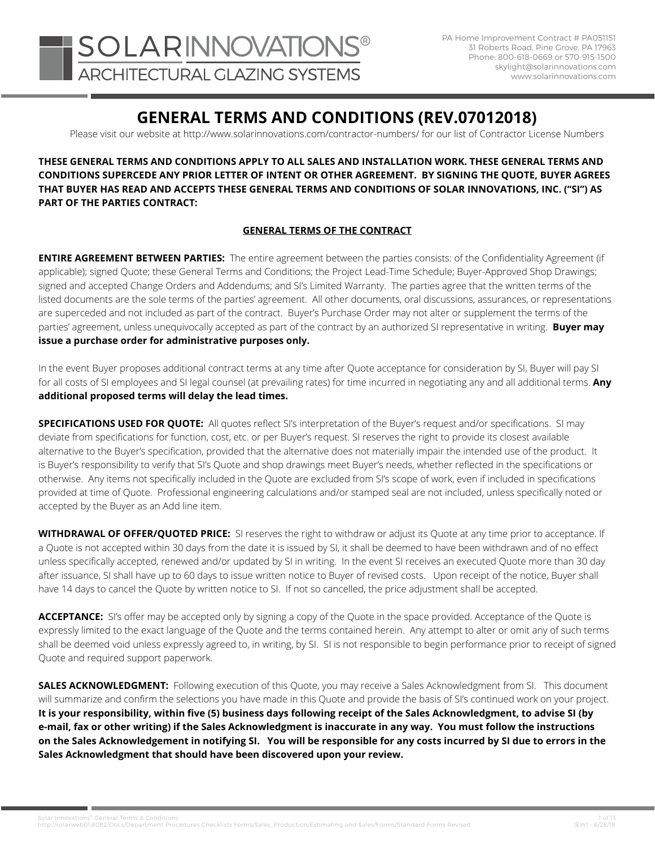# **GENERAL TERMS AND CONDITIONS (REV.07012018)**

Please visit our website at http://www.solarinnovations.com/contractor-numbers/ for our list of Contractor License Numbers

**THESE GENERAL TERMS AND CONDITIONS APPLY TO ALL SALES AND INSTALLATION WORK. THESE GENERAL TERMS AND CONDITIONS SUPERCEDE ANY PRIOR LETTER OF INTENT OR OTHER AGREEMENT. BY SIGNING THE QUOTE, BUYER AGREES THAT BUYER HAS READ AND ACCEPTS THESE GENERAL TERMS AND CONDITIONS OF SOLAR INNOVATIONS, INC. ("SI") AS PART OF THE PARTIES CONTRACT:**

### **GENERAL TERMS OF THE CONTRACT**

parties' agreement, unless unequivocally accepted as part of the contract by an authorized SI representative in writing. **Buyer may**<br>**issue a purchase order for administrative purposes only ENTIRE AGREEMENT BETWEEN PARTIES:** The entire agreement between the parties consists: of the Confidentiality Agreement (if applicable); signed Quote; these General Terms and Conditions; the Project Lead-Time Schedule; Buyer-Approved Shop Drawings; signed and accepted Change Orders and Addendums; and SI's Limited Warranty. The parties agree that the written terms of the listed documents are the sole terms of the parties' agreement. All other documents, oral discussions, assurances, or representations are superceded and not included as part of the contract. Buyer's Purchase Order may not alter or supplement the terms of the **issue a purchase order for administrative purposes only.**

> In the event Buyer proposes additional contract terms at any time after Quote acceptance for consideration by SI, Buyer will pay SI for all costs of SI employees and SI legal counsel (at prevailing rates) for time incurred in negotiating any and all additional terms. **Any additional proposed terms will delay the lead times.**

**SPECIFICATIONS USED FOR QUOTE:** All quotes reflect SI's interpretation of the Buyer's request and/or specifications. SI may deviate from specifications for function, cost, etc. or per Buyer's request. SI reserves the right to provide its closest available alternative to the Buyer's specification, provided that the alternative does not materially impair the intended use of the product. It is Buyer's responsibility to verify that SI's Quote and shop drawings meet Buyer's needs, whether reflected in the specifications or otherwise. Any items not specifically included in the Quote are excluded from SI's scope of work, even if included in specifications provided at time of Quote. Professional engineering calculations and/or stamped seal are not included, unless specifically noted or accepted by the Buyer as an Add line item.

**WITHDRAWAL OF OFFER/QUOTED PRICE:** SI reserves the right to withdraw or adjust its Quote at any time prior to acceptance. If a Quote is not accepted within 30 days from the date it is issued by SI, it shall be deemed to have been withdrawn and of no effect unless specifically accepted, renewed and/or updated by SI in writing. In the event SI receives an executed Quote more than 30 day after issuance, SI shall have up to 60 days to issue written notice to Buyer of revised costs. Upon receipt of the notice, Buyer shall have 14 days to cancel the Quote by written notice to SI. If not so cancelled, the price adjustment shall be accepted.

**ACCEPTANCE:** SI's offer may be accepted only by signing a copy of the Quote in the space provided. Acceptance of the Quote is expressly limited to the exact language of the Quote and the terms contained herein. Any attempt to alter or omit any of such terms shall be deemed void unless expressly agreed to, in writing, by SI. SI is not responsible to begin performance prior to receipt of signed Quote and required support paperwork.

**SALES ACKNOWLEDGMENT:** Following execution of this Quote, you may receive a Sales Acknowledgment from SI. This document will summarize and confirm the selections you have made in this Quote and provide the basis of SI's continued work on your project. **It is your responsibility, within five (5) business days following receipt of the Sales Acknowledgment, to advise SI (by e-mail, fax or other writing) if the Sales Acknowledgment is inaccurate in any way. You must follow the instructions on the Sales Acknowledgement in notifying SI. You will be responsible for any costs incurred by SI due to errors in the Sales Acknowledgment that should have been discovered upon your review.** 

1 1 of 13<br>http://solarweb01:8082/Docs/Department Procedures Checklists Forms/Sales\_Production/Estimating and Sales/Forms/Standard Forms Revised (EW) - 6/28/18<br>http://solarweb01:8082/Docs/Department Procedures Checklists F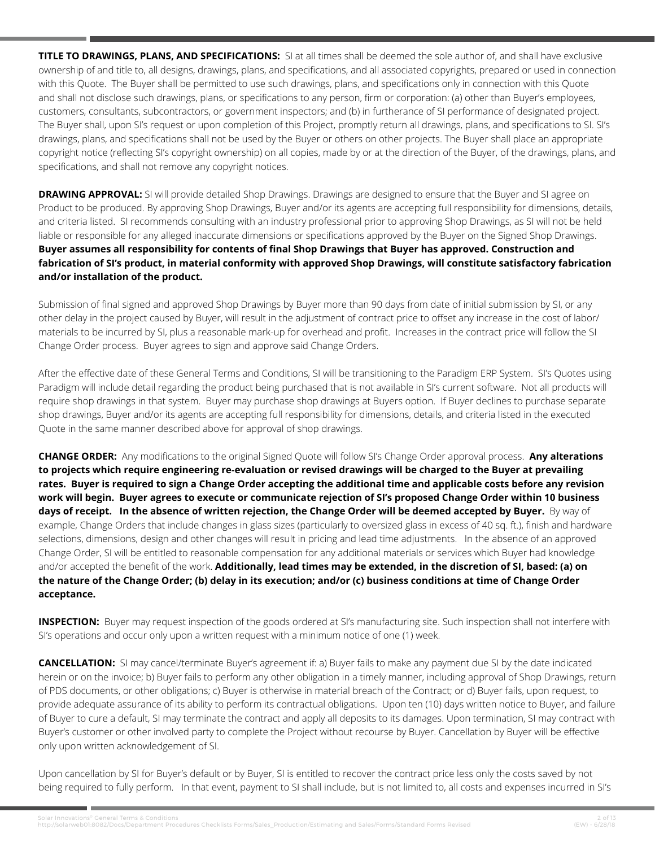**TITLE TO DRAWINGS, PLANS, AND SPECIFICATIONS:** SI at all times shall be deemed the sole author of, and shall have exclusive ownership of and title to, all designs, drawings, plans, and specifications, and all associated copyrights, prepared or used in connection with this Quote. The Buyer shall be permitted to use such drawings, plans, and specifications only in connection with this Quote and shall not disclose such drawings, plans, or specifications to any person, firm or corporation: (a) other than Buyer's employees, customers, consultants, subcontractors, or government inspectors; and (b) in furtherance of SI performance of designated project. The Buyer shall, upon SI's request or upon completion of this Project, promptly return all drawings, plans, and specifications to SI. SI's drawings, plans, and specifications shall not be used by the Buyer or others on other projects. The Buyer shall place an appropriate copyright notice (reflecting SI's copyright ownership) on all copies, made by or at the direction of the Buyer, of the drawings, plans, and specifications, and shall not remove any copyright notices.

**DRAWING APPROVAL:** SI will provide detailed Shop Drawings. Drawings are designed to ensure that the Buyer and SI agree on Product to be produced. By approving Shop Drawings, Buyer and/or its agents are accepting full responsibility for dimensions, details, and criteria listed. SI recommends consulting with an industry professional prior to approving Shop Drawings, as SI will not be held liable or responsible for any alleged inaccurate dimensions or specifications approved by the Buyer on the Signed Shop Drawings. **Buyer assumes all responsibility for contents of final Shop Drawings that Buyer has approved. Construction and fabrication of SI's product, in material conformity with approved Shop Drawings, will constitute satisfactory fabrication and/or installation of the product.** 

Submission of final signed and approved Shop Drawings by Buyer more than 90 days from date of initial submission by SI, or any other delay in the project caused by Buyer, will result in the adjustment of contract price to offset any increase in the cost of labor/ materials to be incurred by SI, plus a reasonable mark-up for overhead and profit. Increases in the contract price will follow the SI Change Order process. Buyer agrees to sign and approve said Change Orders.

After the effective date of these General Terms and Conditions, SI will be transitioning to the Paradigm ERP System. SI's Quotes using Paradigm will include detail regarding the product being purchased that is not available in SI's current software. Not all products will require shop drawings in that system. Buyer may purchase shop drawings at Buyers option. If Buyer declines to purchase separate shop drawings, Buyer and/or its agents are accepting full responsibility for dimensions, details, and criteria listed in the executed Quote in the same manner described above for approval of shop drawings.

**CHANGE ORDER:** Any modifications to the original Signed Quote will follow SI's Change Order approval process. **Any alterations to projects which require engineering re-evaluation or revised drawings will be charged to the Buyer at prevailing rates. Buyer is required to sign a Change Order accepting the additional time and applicable costs before any revision work will begin. Buyer agrees to execute or communicate rejection of SI's proposed Change Order within 10 business days of receipt. In the absence of written rejection, the Change Order will be deemed accepted by Buyer.** By way of example, Change Orders that include changes in glass sizes (particularly to oversized glass in excess of 40 sq. ft.), finish and hardware selections, dimensions, design and other changes will result in pricing and lead time adjustments. In the absence of an approved Change Order, SI will be entitled to reasonable compensation for any additional materials or services which Buyer had knowledge and/or accepted the benefit of the work. **Additionally, lead times may be extended, in the discretion of SI, based: (a) on the nature of the Change Order; (b) delay in its execution; and/or (c) business conditions at time of Change Order acceptance.**

**INSPECTION:** Buyer may request inspection of the goods ordered at SI's manufacturing site. Such inspection shall not interfere with SI's operations and occur only upon a written request with a minimum notice of one (1) week.

**CANCELLATION:** SI may cancel/terminate Buyer's agreement if: a) Buyer fails to make any payment due SI by the date indicated herein or on the invoice; b) Buyer fails to perform any other obligation in a timely manner, including approval of Shop Drawings, return of PDS documents, or other obligations; c) Buyer is otherwise in material breach of the Contract; or d) Buyer fails, upon request, to provide adequate assurance of its ability to perform its contractual obligations. Upon ten (10) days written notice to Buyer, and failure of Buyer to cure a default, SI may terminate the contract and apply all deposits to its damages. Upon termination, SI may contract with Buyer's customer or other involved party to complete the Project without recourse by Buyer. Cancellation by Buyer will be effective only upon written acknowledgement of SI.

Upon cancellation by SI for Buyer's default or by Buyer, SI is entitled to recover the contract price less only the costs saved by not being required to fully perform. In that event, payment to SI shall include, but is not limited to, all costs and expenses incurred in SI's

26 13 2 of 13<br>2 of 13 Attp://solarweb01:8082/Docs/Department Procedures Checklists Forms/Sales Production/Estimating and Sales/Forms/Standard Forms Revised (EW) - 6/28/18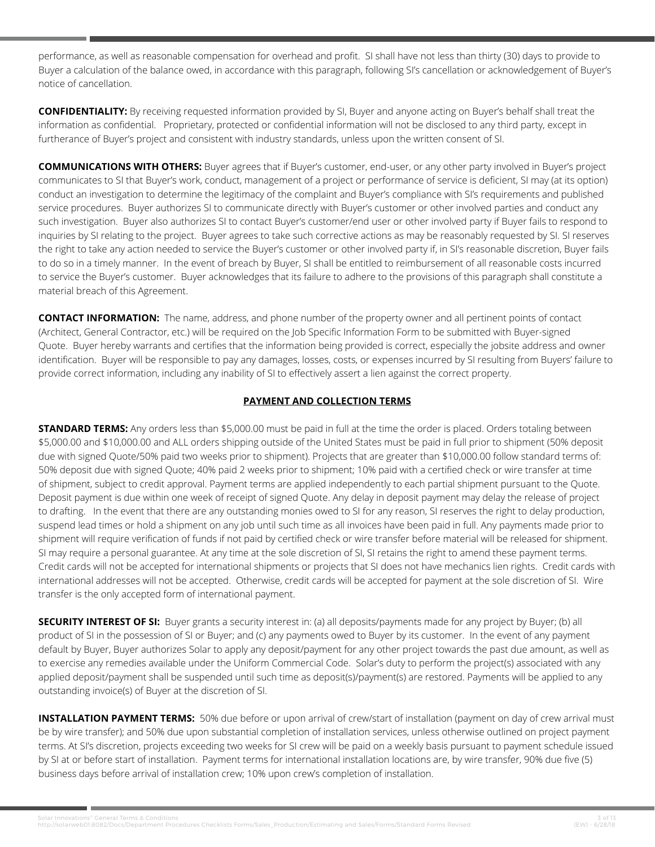performance, as well as reasonable compensation for overhead and profit. SI shall have not less than thirty (30) days to provide to Buyer a calculation of the balance owed, in accordance with this paragraph, following SI's cancellation or acknowledgement of Buyer's notice of cancellation.

**CONFIDENTIALITY:** By receiving requested information provided by SI, Buyer and anyone acting on Buyer's behalf shall treat the information as confidential. Proprietary, protected or confidential information will not be disclosed to any third party, except in furtherance of Buyer's project and consistent with industry standards, unless upon the written consent of SI.

**COMMUNICATIONS WITH OTHERS:** Buyer agrees that if Buyer's customer, end-user, or any other party involved in Buyer's project communicates to SI that Buyer's work, conduct, management of a project or performance of service is deficient, SI may (at its option) conduct an investigation to determine the legitimacy of the complaint and Buyer's compliance with SI's requirements and published service procedures. Buyer authorizes SI to communicate directly with Buyer's customer or other involved parties and conduct any such investigation. Buyer also authorizes SI to contact Buyer's customer/end user or other involved party if Buyer fails to respond to inquiries by SI relating to the project. Buyer agrees to take such corrective actions as may be reasonably requested by SI. SI reserves the right to take any action needed to service the Buyer's customer or other involved party if, in SI's reasonable discretion, Buyer fails to do so in a timely manner. In the event of breach by Buyer, SI shall be entitled to reimbursement of all reasonable costs incurred to service the Buyer's customer. Buyer acknowledges that its failure to adhere to the provisions of this paragraph shall constitute a material breach of this Agreement.

**CONTACT INFORMATION:** The name, address, and phone number of the property owner and all pertinent points of contact (Architect, General Contractor, etc.) will be required on the Job Specific Information Form to be submitted with Buyer-signed Quote. Buyer hereby warrants and certifies that the information being provided is correct, especially the jobsite address and owner identification. Buyer will be responsible to pay any damages, losses, costs, or expenses incurred by SI resulting from Buyers' failure to provide correct information, including any inability of SI to effectively assert a lien against the correct property.

# **PAYMENT AND COLLECTION TERMS**

**STANDARD TERMS:** Any orders less than \$5,000.00 must be paid in full at the time the order is placed. Orders totaling between \$5,000.00 and \$10,000.00 and ALL orders shipping outside of the United States must be paid in full prior to shipment (50% deposit due with signed Quote/50% paid two weeks prior to shipment). Projects that are greater than \$10,000.00 follow standard terms of: 50% deposit due with signed Quote; 40% paid 2 weeks prior to shipment; 10% paid with a certified check or wire transfer at time of shipment, subject to credit approval. Payment terms are applied independently to each partial shipment pursuant to the Quote. Deposit payment is due within one week of receipt of signed Quote. Any delay in deposit payment may delay the release of project to drafting. In the event that there are any outstanding monies owed to SI for any reason, SI reserves the right to delay production, suspend lead times or hold a shipment on any job until such time as all invoices have been paid in full. Any payments made prior to shipment will require verification of funds if not paid by certified check or wire transfer before material will be released for shipment. SI may require a personal guarantee. At any time at the sole discretion of SI, SI retains the right to amend these payment terms. Credit cards will not be accepted for international shipments or projects that SI does not have mechanics lien rights. Credit cards with international addresses will not be accepted. Otherwise, credit cards will be accepted for payment at the sole discretion of SI. Wire transfer is the only accepted form of international payment.

**SECURITY INTEREST OF SI:** Buyer grants a security interest in: (a) all deposits/payments made for any project by Buyer; (b) all product of SI in the possession of SI or Buyer; and (c) any payments owed to Buyer by its customer. In the event of any payment default by Buyer, Buyer authorizes Solar to apply any deposit/payment for any other project towards the past due amount, as well as to exercise any remedies available under the Uniform Commercial Code. Solar's duty to perform the project(s) associated with any applied deposit/payment shall be suspended until such time as deposit(s)/payment(s) are restored. Payments will be applied to any outstanding invoice(s) of Buyer at the discretion of SI.

**INSTALLATION PAYMENT TERMS:** 50% due before or upon arrival of crew/start of installation (payment on day of crew arrival must be by wire transfer); and 50% due upon substantial completion of installation services, unless otherwise outlined on project payment terms. At SI's discretion, projects exceeding two weeks for SI crew will be paid on a weekly basis pursuant to payment schedule issued by SI at or before start of installation. Payment terms for international installation locations are, by wire transfer, 90% due five (5) business days before arrival of installation crew; 10% upon crew's completion of installation.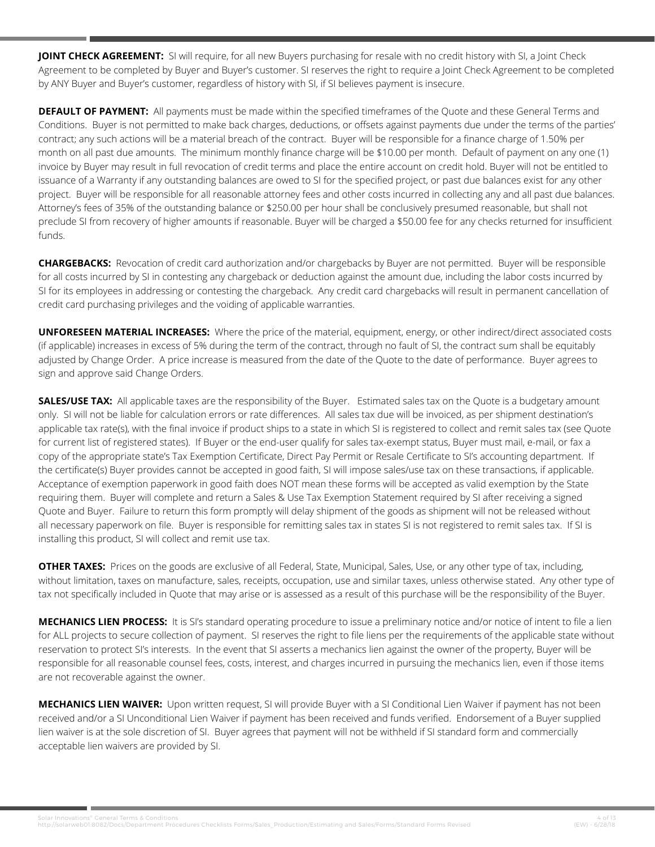**JOINT CHECK AGREEMENT:** SI will require, for all new Buyers purchasing for resale with no credit history with SI, a Joint Check Agreement to be completed by Buyer and Buyer's customer. SI reserves the right to require a Joint Check Agreement to be completed by ANY Buyer and Buyer's customer, regardless of history with SI, if SI believes payment is insecure.

**DEFAULT OF PAYMENT:** All payments must be made within the specified timeframes of the Quote and these General Terms and Conditions. Buyer is not permitted to make back charges, deductions, or offsets against payments due under the terms of the parties' contract; any such actions will be a material breach of the contract. Buyer will be responsible for a finance charge of 1.50% per month on all past due amounts. The minimum monthly finance charge will be \$10.00 per month. Default of payment on any one (1) invoice by Buyer may result in full revocation of credit terms and place the entire account on credit hold. Buyer will not be entitled to issuance of a Warranty if any outstanding balances are owed to SI for the specified project, or past due balances exist for any other project. Buyer will be responsible for all reasonable attorney fees and other costs incurred in collecting any and all past due balances. Attorney's fees of 35% of the outstanding balance or \$250.00 per hour shall be conclusively presumed reasonable, but shall not preclude SI from recovery of higher amounts if reasonable. Buyer will be charged a \$50.00 fee for any checks returned for insufficient funds.

**CHARGEBACKS:** Revocation of credit card authorization and/or chargebacks by Buyer are not permitted. Buyer will be responsible for all costs incurred by SI in contesting any chargeback or deduction against the amount due, including the labor costs incurred by SI for its employees in addressing or contesting the chargeback. Any credit card chargebacks will result in permanent cancellation of credit card purchasing privileges and the voiding of applicable warranties.

**UNFORESEEN MATERIAL INCREASES:** Where the price of the material, equipment, energy, or other indirect/direct associated costs (if applicable) increases in excess of 5% during the term of the contract, through no fault of SI, the contract sum shall be equitably adjusted by Change Order. A price increase is measured from the date of the Quote to the date of performance. Buyer agrees to sign and approve said Change Orders.

**SALES/USE TAX:** All applicable taxes are the responsibility of the Buyer. Estimated sales tax on the Quote is a budgetary amount only. SI will not be liable for calculation errors or rate differences. All sales tax due will be invoiced, as per shipment destination's applicable tax rate(s), with the final invoice if product ships to a state in which SI is registered to collect and remit sales tax (see Quote for current list of registered states). If Buyer or the end-user qualify for sales tax-exempt status, Buyer must mail, e-mail, or fax a copy of the appropriate state's Tax Exemption Certificate, Direct Pay Permit or Resale Certificate to SI's accounting department. If the certificate(s) Buyer provides cannot be accepted in good faith, SI will impose sales/use tax on these transactions, if applicable. Acceptance of exemption paperwork in good faith does NOT mean these forms will be accepted as valid exemption by the State requiring them. Buyer will complete and return a Sales & Use Tax Exemption Statement required by SI after receiving a signed Quote and Buyer. Failure to return this form promptly will delay shipment of the goods as shipment will not be released without all necessary paperwork on file. Buyer is responsible for remitting sales tax in states SI is not registered to remit sales tax. If SI is installing this product, SI will collect and remit use tax.

**OTHER TAXES:** Prices on the goods are exclusive of all Federal, State, Municipal, Sales, Use, or any other type of tax, including, without limitation, taxes on manufacture, sales, receipts, occupation, use and similar taxes, unless otherwise stated. Any other type of tax not specifically included in Quote that may arise or is assessed as a result of this purchase will be the responsibility of the Buyer.

**MECHANICS LIEN PROCESS:** It is SI's standard operating procedure to issue a preliminary notice and/or notice of intent to file a lien for ALL projects to secure collection of payment. SI reserves the right to file liens per the requirements of the applicable state without reservation to protect SI's interests. In the event that SI asserts a mechanics lien against the owner of the property, Buyer will be responsible for all reasonable counsel fees, costs, interest, and charges incurred in pursuing the mechanics lien, even if those items are not recoverable against the owner.

**MECHANICS LIEN WAIVER:** Upon written request, SI will provide Buyer with a SI Conditional Lien Waiver if payment has not been received and/or a SI Unconditional Lien Waiver if payment has been received and funds verified. Endorsement of a Buyer supplied lien waiver is at the sole discretion of SI. Buyer agrees that payment will not be withheld if SI standard form and commercially acceptable lien waivers are provided by SI.

4 of 13 /solar Innovations® General Terms & Conditions<br>http://solarweb01:8082/Docs/Department Procedures Checklists Forms/Sales\_Production/Estimating and Sales/Forms/Standard Forms Revised (EW) - 6/28/18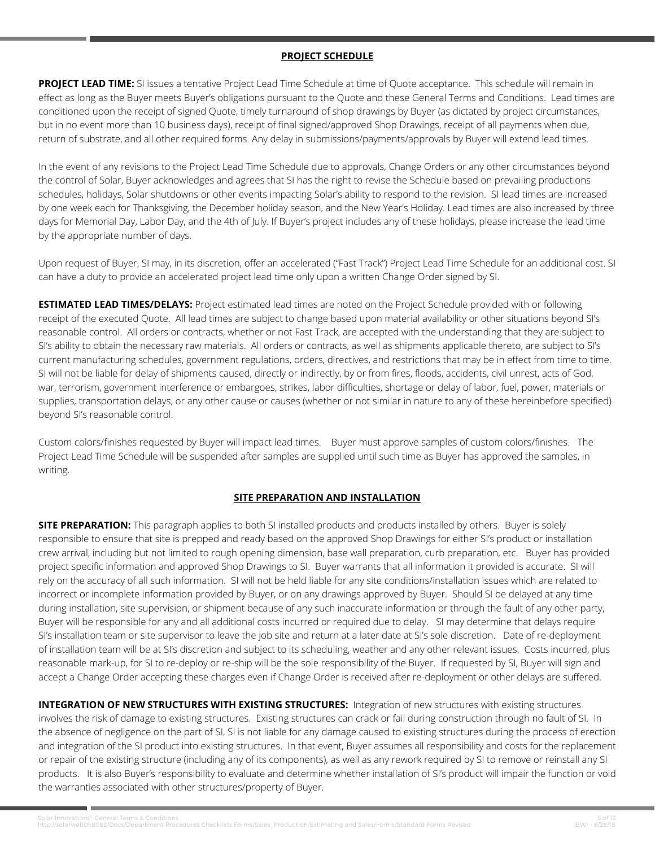### **PROJECT SCHEDULE**

**PROJECT LEAD TIME:** SI issues a tentative Project Lead Time Schedule at time of Quote acceptance. This schedule will remain in effect as long as the Buyer meets Buyer's obligations pursuant to the Quote and these General Terms and Conditions. Lead times are conditioned upon the receipt of signed Quote, timely turnaround of shop drawings by Buyer (as dictated by project circumstances, but in no event more than 10 business days), receipt of final signed/approved Shop Drawings, receipt of all payments when due, return of substrate, and all other required forms. Any delay in submissions/payments/approvals by Buyer will extend lead times.

In the event of any revisions to the Project Lead Time Schedule due to approvals, Change Orders or any other circumstances beyond the control of Solar, Buyer acknowledges and agrees that SI has the right to revise the Schedule based on prevailing productions schedules, holidays, Solar shutdowns or other events impacting Solar's ability to respond to the revision. SI lead times are increased by one week each for Thanksgiving, the December holiday season, and the New Year's Holiday. Lead times are also increased by three days for Memorial Day, Labor Day, and the 4th of July. If Buyer's project includes any of these holidays, please increase the lead time by the appropriate number of days.

Upon request of Buyer, SI may, in its discretion, offer an accelerated ("Fast Track") Project Lead Time Schedule for an additional cost. SI can have a duty to provide an accelerated project lead time only upon a written Change Order signed by SI.

**ESTIMATED LEAD TIMES/DELAYS:** Project estimated lead times are noted on the Project Schedule provided with or following receipt of the executed Quote. All lead times are subject to change based upon material availability or other situations beyond SI's reasonable control. All orders or contracts, whether or not Fast Track, are accepted with the understanding that they are subject to SI's ability to obtain the necessary raw materials. All orders or contracts, as well as shipments applicable thereto, are subject to SI's current manufacturing schedules, government regulations, orders, directives, and restrictions that may be in effect from time to time. SI will not be liable for delay of shipments caused, directly or indirectly, by or from fires, floods, accidents, civil unrest, acts of God, war, terrorism, government interference or embargoes, strikes, labor difficulties, shortage or delay of labor, fuel, power, materials or supplies, transportation delays, or any other cause or causes (whether or not similar in nature to any of these hereinbefore specified) beyond SI's reasonable control.

Custom colors/finishes requested by Buyer will impact lead times. Buyer must approve samples of custom colors/finishes. The Project Lead Time Schedule will be suspended after samples are supplied until such time as Buyer has approved the samples, in writing.

# **SITE PREPARATION AND INSTALLATION**

**SITE PREPARATION:** This paragraph applies to both SI installed products and products installed by others. Buyer is solely responsible to ensure that site is prepped and ready based on the approved Shop Drawings for either SI's product or installation crew arrival, including but not limited to rough opening dimension, base wall preparation, curb preparation, etc. Buyer has provided project specific information and approved Shop Drawings to SI. Buyer warrants that all information it provided is accurate. SI will rely on the accuracy of all such information. SI will not be held liable for any site conditions/installation issues which are related to incorrect or incomplete information provided by Buyer, or on any drawings approved by Buyer. Should SI be delayed at any time during installation, site supervision, or shipment because of any such inaccurate information or through the fault of any other party, Buyer will be responsible for any and all additional costs incurred or required due to delay. SI may determine that delays require SI's installation team or site supervisor to leave the job site and return at a later date at SI's sole discretion. Date of re-deployment of installation team will be at SI's discretion and subject to its scheduling, weather and any other relevant issues. Costs incurred, plus reasonable mark-up, for SI to re-deploy or re-ship will be the sole responsibility of the Buyer. If requested by SI, Buyer will sign and accept a Change Order accepting these charges even if Change Order is received after re-deployment or other delays are suffered.

**INTEGRATION OF NEW STRUCTURES WITH EXISTING STRUCTURES:** Integration of new structures with existing structures involves the risk of damage to existing structures. Existing structures can crack or fail during construction through no fault of SI. In the absence of negligence on the part of SI, SI is not liable for any damage caused to existing structures during the process of erection and integration of the SI product into existing structures. In that event, Buyer assumes all responsibility and costs for the replacement or repair of the existing structure (including any of its components), as well as any rework required by SI to remove or reinstall any SI products. It is also Buyer's responsibility to evaluate and determine whether installation of SI's product will impair the function or void the warranties associated with other structures/property of Buyer.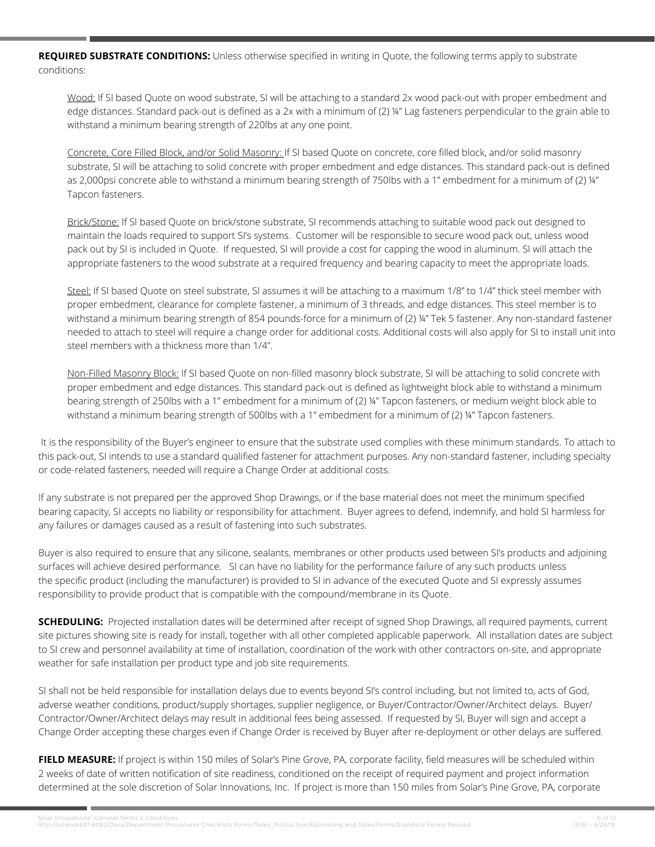**REQUIRED SUBSTRATE CONDITIONS:** Unless otherwise specified in writing in Quote, the following terms apply to substrate conditions:

Wood: If SI based Quote on wood substrate, SI will be attaching to a standard 2x wood pack-out with proper embedment and edge distances. Standard pack-out is defined as a 2x with a minimum of (2) ¼" Lag fasteners perpendicular to the grain able to withstand a minimum bearing strength of 220lbs at any one point.

Concrete, Core Filled Block, and/or Solid Masonry: If SI based Quote on concrete, core filled block, and/or solid masonry substrate, SI will be attaching to solid concrete with proper embedment and edge distances. This standard pack-out is defined as 2,000psi concrete able to withstand a minimum bearing strength of 750lbs with a 1" embedment for a minimum of (2) ¼" Tapcon fasteners.

Brick/Stone: If SI based Quote on brick/stone substrate, SI recommends attaching to suitable wood pack out designed to maintain the loads required to support SI's systems. Customer will be responsible to secure wood pack out, unless wood pack out by SI is included in Quote. If requested, SI will provide a cost for capping the wood in aluminum. SI will attach the appropriate fasteners to the wood substrate at a required frequency and bearing capacity to meet the appropriate loads.

Steel: If SI based Quote on steel substrate, SI assumes it will be attaching to a maximum 1/8" to 1/4" thick steel member with proper embedment, clearance for complete fastener, a minimum of 3 threads, and edge distances. This steel member is to withstand a minimum bearing strength of 854 pounds-force for a minimum of (2) ¼" Tek 5 fastener. Any non-standard fastener needed to attach to steel will require a change order for additional costs. Additional costs will also apply for SI to install unit into steel members with a thickness more than 1/4".

Non-Filled Masonry Block: If SI based Quote on non-filled masonry block substrate, SI will be attaching to solid concrete with proper embedment and edge distances. This standard pack-out is defined as lightweight block able to withstand a minimum bearing strength of 250lbs with a 1" embedment for a minimum of (2) ¼" Tapcon fasteners, or medium weight block able to withstand a minimum bearing strength of 500lbs with a 1" embedment for a minimum of (2) ¼" Tapcon fasteners.

 It is the responsibility of the Buyer's engineer to ensure that the substrate used complies with these minimum standards. To attach to this pack-out, SI intends to use a standard qualified fastener for attachment purposes. Any non-standard fastener, including specialty or code-related fasteners, needed will require a Change Order at additional costs.

If any substrate is not prepared per the approved Shop Drawings, or if the base material does not meet the minimum specified bearing capacity, SI accepts no liability or responsibility for attachment. Buyer agrees to defend, indemnify, and hold SI harmless for any failures or damages caused as a result of fastening into such substrates.

Buyer is also required to ensure that any silicone, sealants, membranes or other products used between SI's products and adjoining surfaces will achieve desired performance. SI can have no liability for the performance failure of any such products unless the specific product (including the manufacturer) is provided to SI in advance of the executed Quote and SI expressly assumes responsibility to provide product that is compatible with the compound/membrane in its Quote.

**SCHEDULING:** Projected installation dates will be determined after receipt of signed Shop Drawings, all required payments, current site pictures showing site is ready for install, together with all other completed applicable paperwork. All installation dates are subject to SI crew and personnel availability at time of installation, coordination of the work with other contractors on-site, and appropriate weather for safe installation per product type and job site requirements.

SI shall not be held responsible for installation delays due to events beyond SI's control including, but not limited to, acts of God, adverse weather conditions, product/supply shortages, supplier negligence, or Buyer/Contractor/Owner/Architect delays. Buyer/ Contractor/Owner/Architect delays may result in additional fees being assessed. If requested by SI, Buyer will sign and accept a Change Order accepting these charges even if Change Order is received by Buyer after re-deployment or other delays are suffered.

**FIELD MEASURE:** If project is within 150 miles of Solar's Pine Grove, PA, corporate facility, field measures will be scheduled within 2 weeks of date of written notification of site readiness, conditioned on the receipt of required payment and project information determined at the sole discretion of Solar Innovations, Inc. If project is more than 150 miles from Solar's Pine Grove, PA, corporate

6 6 Solar Innovations® General Terms & Conditions<br>http://solarweb01:8082/Docs/Department Procedures Checklists Forms/Sales\_Production/Estimating and Sales/Forms/Standard Forms Revised (EW) - 6/28/18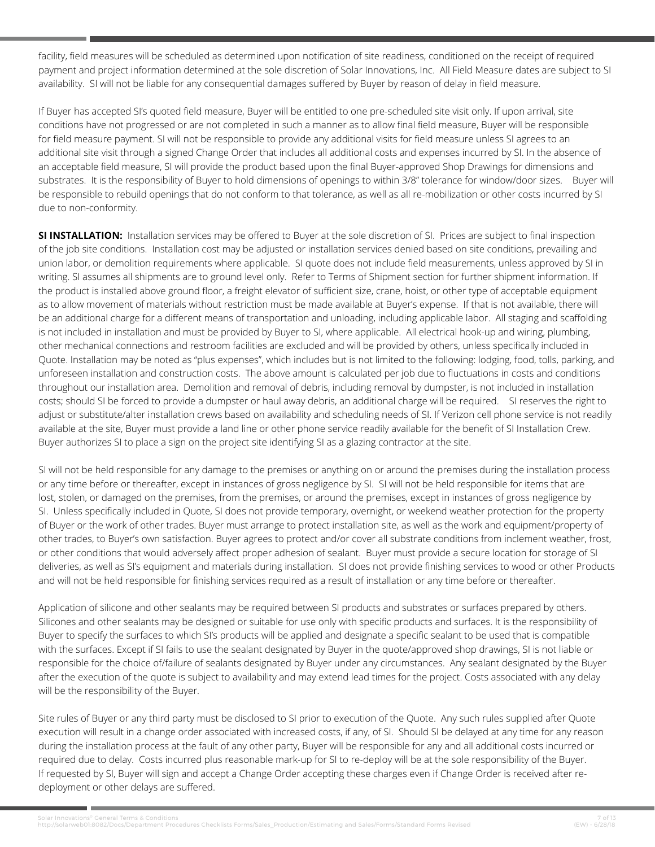facility, field measures will be scheduled as determined upon notification of site readiness, conditioned on the receipt of required payment and project information determined at the sole discretion of Solar Innovations, Inc. All Field Measure dates are subject to SI availability. SI will not be liable for any consequential damages suffered by Buyer by reason of delay in field measure.

If Buyer has accepted SI's quoted field measure, Buyer will be entitled to one pre-scheduled site visit only. If upon arrival, site conditions have not progressed or are not completed in such a manner as to allow final field measure, Buyer will be responsible for field measure payment. SI will not be responsible to provide any additional visits for field measure unless SI agrees to an additional site visit through a signed Change Order that includes all additional costs and expenses incurred by SI. In the absence of an acceptable field measure, SI will provide the product based upon the final Buyer-approved Shop Drawings for dimensions and substrates. It is the responsibility of Buyer to hold dimensions of openings to within 3/8" tolerance for window/door sizes. Buyer will be responsible to rebuild openings that do not conform to that tolerance, as well as all re-mobilization or other costs incurred by SI due to non-conformity.

**SI INSTALLATION:** Installation services may be offered to Buyer at the sole discretion of SI. Prices are subject to final inspection of the job site conditions. Installation cost may be adjusted or installation services denied based on site conditions, prevailing and union labor, or demolition requirements where applicable. SI quote does not include field measurements, unless approved by SI in writing. SI assumes all shipments are to ground level only. Refer to Terms of Shipment section for further shipment information. If the product is installed above ground floor, a freight elevator of sufficient size, crane, hoist, or other type of acceptable equipment as to allow movement of materials without restriction must be made available at Buyer's expense. If that is not available, there will be an additional charge for a different means of transportation and unloading, including applicable labor. All staging and scaffolding is not included in installation and must be provided by Buyer to SI, where applicable. All electrical hook-up and wiring, plumbing, other mechanical connections and restroom facilities are excluded and will be provided by others, unless specifically included in Quote. Installation may be noted as "plus expenses", which includes but is not limited to the following: lodging, food, tolls, parking, and unforeseen installation and construction costs. The above amount is calculated per job due to fluctuations in costs and conditions throughout our installation area. Demolition and removal of debris, including removal by dumpster, is not included in installation costs; should SI be forced to provide a dumpster or haul away debris, an additional charge will be required. SI reserves the right to adjust or substitute/alter installation crews based on availability and scheduling needs of SI. If Verizon cell phone service is not readily available at the site, Buyer must provide a land line or other phone service readily available for the benefit of SI Installation Crew. Buyer authorizes SI to place a sign on the project site identifying SI as a glazing contractor at the site.

SI will not be held responsible for any damage to the premises or anything on or around the premises during the installation process or any time before or thereafter, except in instances of gross negligence by SI. SI will not be held responsible for items that are lost, stolen, or damaged on the premises, from the premises, or around the premises, except in instances of gross negligence by SI. Unless specifically included in Quote, SI does not provide temporary, overnight, or weekend weather protection for the property of Buyer or the work of other trades. Buyer must arrange to protect installation site, as well as the work and equipment/property of other trades, to Buyer's own satisfaction. Buyer agrees to protect and/or cover all substrate conditions from inclement weather, frost, or other conditions that would adversely affect proper adhesion of sealant. Buyer must provide a secure location for storage of SI deliveries, as well as SI's equipment and materials during installation. SI does not provide finishing services to wood or other Products and will not be held responsible for finishing services required as a result of installation or any time before or thereafter.

Application of silicone and other sealants may be required between SI products and substrates or surfaces prepared by others. Silicones and other sealants may be designed or suitable for use only with specific products and surfaces. It is the responsibility of Buyer to specify the surfaces to which SI's products will be applied and designate a specific sealant to be used that is compatible with the surfaces. Except if SI fails to use the sealant designated by Buyer in the quote/approved shop drawings, SI is not liable or responsible for the choice of/failure of sealants designated by Buyer under any circumstances. Any sealant designated by the Buyer after the execution of the quote is subject to availability and may extend lead times for the project. Costs associated with any delay will be the responsibility of the Buyer.

Site rules of Buyer or any third party must be disclosed to SI prior to execution of the Quote. Any such rules supplied after Quote execution will result in a change order associated with increased costs, if any, of SI. Should SI be delayed at any time for any reason during the installation process at the fault of any other party, Buyer will be responsible for any and all additional costs incurred or required due to delay. Costs incurred plus reasonable mark-up for SI to re-deploy will be at the sole responsibility of the Buyer. If requested by SI, Buyer will sign and accept a Change Order accepting these charges even if Change Order is received after redeployment or other delays are suffered.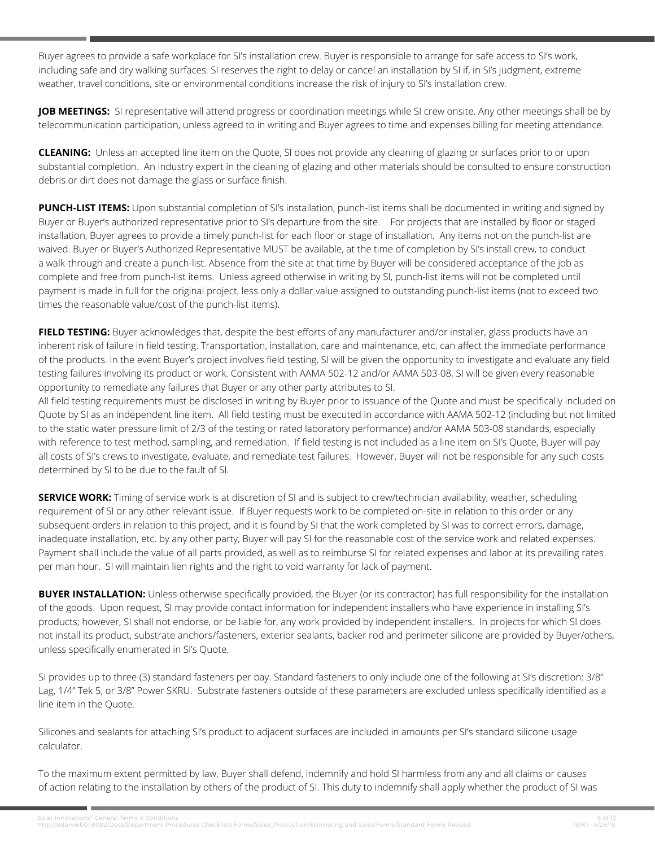Buyer agrees to provide a safe workplace for SI's installation crew. Buyer is responsible to arrange for safe access to SI's work, including safe and dry walking surfaces. SI reserves the right to delay or cancel an installation by SI if, in SI's judgment, extreme weather, travel conditions, site or environmental conditions increase the risk of injury to SI's installation crew.

JOB MEETINGS: SI representative will attend progress or coordination meetings while SI crew onsite. Any other meetings shall be by telecommunication participation, unless agreed to in writing and Buyer agrees to time and expenses billing for meeting attendance.

**CLEANING:** Unless an accepted line item on the Quote, SI does not provide any cleaning of glazing or surfaces prior to or upon substantial completion. An industry expert in the cleaning of glazing and other materials should be consulted to ensure construction debris or dirt does not damage the glass or surface finish.

**PUNCH-LIST ITEMS:** Upon substantial completion of SI's installation, punch-list items shall be documented in writing and signed by Buyer or Buyer's authorized representative prior to SI's departure from the site. For projects that are installed by floor or staged installation, Buyer agrees to provide a timely punch-list for each floor or stage of installation. Any items not on the punch-list are waived. Buyer or Buyer's Authorized Representative MUST be available, at the time of completion by SI's install crew, to conduct a walk-through and create a punch-list. Absence from the site at that time by Buyer will be considered acceptance of the job as complete and free from punch-list items. Unless agreed otherwise in writing by SI, punch-list items will not be completed until payment is made in full for the original project, less only a dollar value assigned to outstanding punch-list items (not to exceed two times the reasonable value/cost of the punch-list items).

**FIELD TESTING:** Buyer acknowledges that, despite the best efforts of any manufacturer and/or installer, glass products have an inherent risk of failure in field testing. Transportation, installation, care and maintenance, etc. can affect the immediate performance of the products. In the event Buyer's project involves field testing, SI will be given the opportunity to investigate and evaluate any field testing failures involving its product or work. Consistent with AAMA 502-12 and/or AAMA 503-08, SI will be given every reasonable opportunity to remediate any failures that Buyer or any other party attributes to SI.

All field testing requirements must be disclosed in writing by Buyer prior to issuance of the Quote and must be specifically included on Quote by SI as an independent line item. All field testing must be executed in accordance with AAMA 502-12 (including but not limited to the static water pressure limit of 2/3 of the testing or rated laboratory performance) and/or AAMA 503-08 standards, especially with reference to test method, sampling, and remediation. If field testing is not included as a line item on SI's Quote, Buyer will pay all costs of SI's crews to investigate, evaluate, and remediate test failures. However, Buyer will not be responsible for any such costs determined by SI to be due to the fault of SI.

**SERVICE WORK:** Timing of service work is at discretion of SI and is subject to crew/technician availability, weather, scheduling requirement of SI or any other relevant issue. If Buyer requests work to be completed on-site in relation to this order or any subsequent orders in relation to this project, and it is found by SI that the work completed by SI was to correct errors, damage, inadequate installation, etc. by any other party, Buyer will pay SI for the reasonable cost of the service work and related expenses. Payment shall include the value of all parts provided, as well as to reimburse SI for related expenses and labor at its prevailing rates per man hour. SI will maintain lien rights and the right to void warranty for lack of payment.

**BUYER INSTALLATION:** Unless otherwise specifically provided, the Buyer (or its contractor) has full responsibility for the installation of the goods. Upon request, SI may provide contact information for independent installers who have experience in installing SI's products; however, SI shall not endorse, or be liable for, any work provided by independent installers. In projects for which SI does not install its product, substrate anchors/fasteners, exterior sealants, backer rod and perimeter silicone are provided by Buyer/others, unless specifically enumerated in SI's Quote.

SI provides up to three (3) standard fasteners per bay. Standard fasteners to only include one of the following at SI's discretion: 3/8" Lag, 1/4" Tek 5, or 3/8" Power SKRU. Substrate fasteners outside of these parameters are excluded unless specifically identified as a line item in the Quote.

Silicones and sealants for attaching SI's product to adjacent surfaces are included in amounts per SI's standard silicone usage calculator.

To the maximum extent permitted by law, Buyer shall defend, indemnify and hold SI harmless from any and all claims or causes of action relating to the installation by others of the product of SI. This duty to indemnify shall apply whether the product of SI was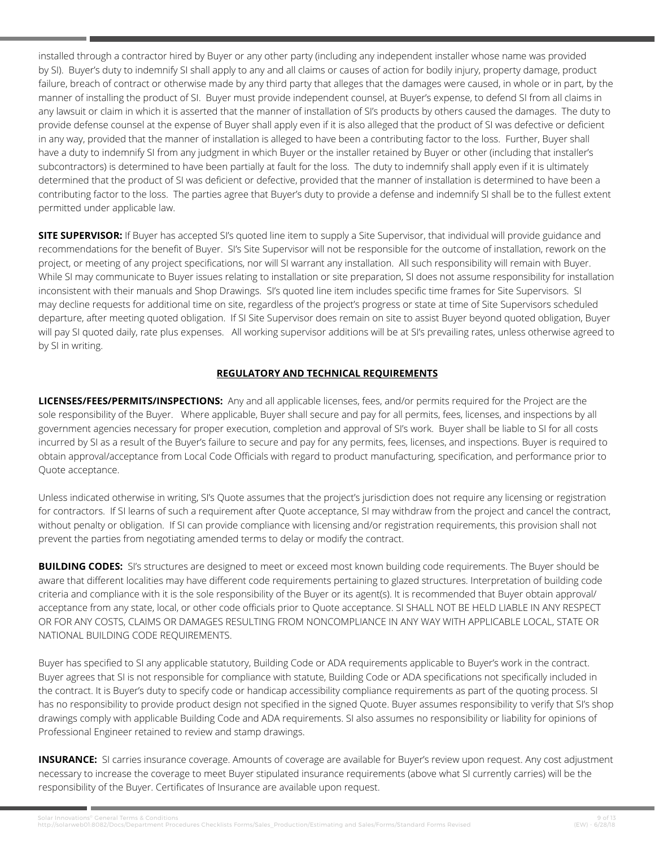installed through a contractor hired by Buyer or any other party (including any independent installer whose name was provided by SI). Buyer's duty to indemnify SI shall apply to any and all claims or causes of action for bodily injury, property damage, product failure, breach of contract or otherwise made by any third party that alleges that the damages were caused, in whole or in part, by the manner of installing the product of SI. Buyer must provide independent counsel, at Buyer's expense, to defend SI from all claims in any lawsuit or claim in which it is asserted that the manner of installation of SI's products by others caused the damages. The duty to provide defense counsel at the expense of Buyer shall apply even if it is also alleged that the product of SI was defective or deficient in any way, provided that the manner of installation is alleged to have been a contributing factor to the loss. Further, Buyer shall have a duty to indemnify SI from any judgment in which Buyer or the installer retained by Buyer or other (including that installer's subcontractors) is determined to have been partially at fault for the loss. The duty to indemnify shall apply even if it is ultimately determined that the product of SI was deficient or defective, provided that the manner of installation is determined to have been a contributing factor to the loss. The parties agree that Buyer's duty to provide a defense and indemnify SI shall be to the fullest extent permitted under applicable law.

**SITE SUPERVISOR:** If Buyer has accepted SI's quoted line item to supply a Site Supervisor, that individual will provide guidance and recommendations for the benefit of Buyer. SI's Site Supervisor will not be responsible for the outcome of installation, rework on the project, or meeting of any project specifications, nor will SI warrant any installation. All such responsibility will remain with Buyer. While SI may communicate to Buyer issues relating to installation or site preparation, SI does not assume responsibility for installation inconsistent with their manuals and Shop Drawings. SI's quoted line item includes specific time frames for Site Supervisors. SI may decline requests for additional time on site, regardless of the project's progress or state at time of Site Supervisors scheduled departure, after meeting quoted obligation. If SI Site Supervisor does remain on site to assist Buyer beyond quoted obligation, Buyer will pay SI quoted daily, rate plus expenses. All working supervisor additions will be at SI's prevailing rates, unless otherwise agreed to by SI in writing.

# **REGULATORY AND TECHNICAL REQUIREMENTS**

**LICENSES/FEES/PERMITS/INSPECTIONS:** Any and all applicable licenses, fees, and/or permits required for the Project are the sole responsibility of the Buyer. Where applicable, Buyer shall secure and pay for all permits, fees, licenses, and inspections by all government agencies necessary for proper execution, completion and approval of SI's work. Buyer shall be liable to SI for all costs incurred by SI as a result of the Buyer's failure to secure and pay for any permits, fees, licenses, and inspections. Buyer is required to obtain approval/acceptance from Local Code Officials with regard to product manufacturing, specification, and performance prior to Quote acceptance.

Unless indicated otherwise in writing, SI's Quote assumes that the project's jurisdiction does not require any licensing or registration for contractors. If SI learns of such a requirement after Quote acceptance, SI may withdraw from the project and cancel the contract, without penalty or obligation. If SI can provide compliance with licensing and/or registration requirements, this provision shall not prevent the parties from negotiating amended terms to delay or modify the contract.

**BUILDING CODES:** SI's structures are designed to meet or exceed most known building code requirements. The Buyer should be aware that different localities may have different code requirements pertaining to glazed structures. Interpretation of building code criteria and compliance with it is the sole responsibility of the Buyer or its agent(s). It is recommended that Buyer obtain approval/ acceptance from any state, local, or other code officials prior to Quote acceptance. SI SHALL NOT BE HELD LIABLE IN ANY RESPECT OR FOR ANY COSTS, CLAIMS OR DAMAGES RESULTING FROM NONCOMPLIANCE IN ANY WAY WITH APPLICABLE LOCAL, STATE OR NATIONAL BUILDING CODE REQUIREMENTS.

Buyer has specified to SI any applicable statutory, Building Code or ADA requirements applicable to Buyer's work in the contract. Buyer agrees that SI is not responsible for compliance with statute, Building Code or ADA specifications not specifically included in the contract. It is Buyer's duty to specify code or handicap accessibility compliance requirements as part of the quoting process. SI has no responsibility to provide product design not specified in the signed Quote. Buyer assumes responsibility to verify that SI's shop drawings comply with applicable Building Code and ADA requirements. SI also assumes no responsibility or liability for opinions of Professional Engineer retained to review and stamp drawings.

**INSURANCE:** SI carries insurance coverage. Amounts of coverage are available for Buyer's review upon request. Any cost adjustment necessary to increase the coverage to meet Buyer stipulated insurance requirements (above what SI currently carries) will be the responsibility of the Buyer. Certificates of Insurance are available upon request.

9 of 13 9 of 13<br>http://solarweb01:8082/Docs/Department Procedures Checklists Forms/Sales\_Production/Estimating and Sales/Forms/Standard Forms Revised (EW) - 6/28/18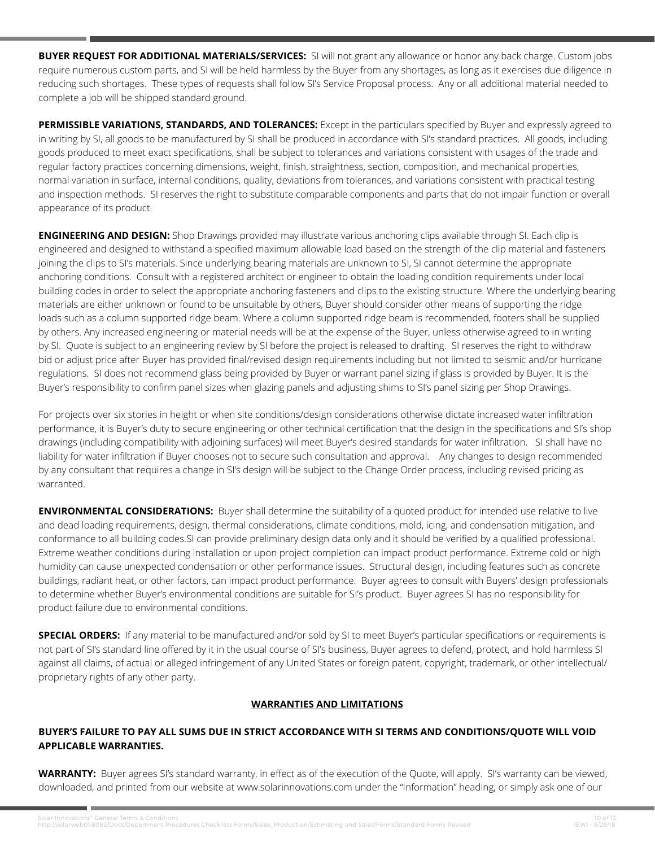**BUYER REQUEST FOR ADDITIONAL MATERIALS/SERVICES:** SI will not grant any allowance or honor any back charge. Custom jobs require numerous custom parts, and SI will be held harmless by the Buyer from any shortages, as long as it exercises due diligence in reducing such shortages. These types of requests shall follow SI's Service Proposal process. Any or all additional material needed to complete a job will be shipped standard ground.

**PERMISSIBLE VARIATIONS, STANDARDS, AND TOLERANCES:** Except in the particulars specified by Buyer and expressly agreed to in writing by SI, all goods to be manufactured by SI shall be produced in accordance with SI's standard practices. All goods, including goods produced to meet exact specifications, shall be subject to tolerances and variations consistent with usages of the trade and regular factory practices concerning dimensions, weight, finish, straightness, section, composition, and mechanical properties, normal variation in surface, internal conditions, quality, deviations from tolerances, and variations consistent with practical testing and inspection methods. SI reserves the right to substitute comparable components and parts that do not impair function or overall appearance of its product.

**ENGINEERING AND DESIGN:** Shop Drawings provided may illustrate various anchoring clips available through SI. Each clip is engineered and designed to withstand a specified maximum allowable load based on the strength of the clip material and fasteners joining the clips to SI's materials. Since underlying bearing materials are unknown to SI, SI cannot determine the appropriate anchoring conditions. Consult with a registered architect or engineer to obtain the loading condition requirements under local building codes in order to select the appropriate anchoring fasteners and clips to the existing structure. Where the underlying bearing materials are either unknown or found to be unsuitable by others, Buyer should consider other means of supporting the ridge loads such as a column supported ridge beam. Where a column supported ridge beam is recommended, footers shall be supplied by others. Any increased engineering or material needs will be at the expense of the Buyer, unless otherwise agreed to in writing by SI. Quote is subject to an engineering review by SI before the project is released to drafting. SI reserves the right to withdraw bid or adjust price after Buyer has provided final/revised design requirements including but not limited to seismic and/or hurricane regulations. SI does not recommend glass being provided by Buyer or warrant panel sizing if glass is provided by Buyer. It is the Buyer's responsibility to confirm panel sizes when glazing panels and adjusting shims to SI's panel sizing per Shop Drawings.

For projects over six stories in height or when site conditions/design considerations otherwise dictate increased water infiltration performance, it is Buyer's duty to secure engineering or other technical certification that the design in the specifications and SI's shop drawings (including compatibility with adjoining surfaces) will meet Buyer's desired standards for water infiltration. SI shall have no liability for water infiltration if Buyer chooses not to secure such consultation and approval. Any changes to design recommended by any consultant that requires a change in SI's design will be subject to the Change Order process, including revised pricing as warranted.

**ENVIRONMENTAL CONSIDERATIONS:** Buyer shall determine the suitability of a quoted product for intended use relative to live and dead loading requirements, design, thermal considerations, climate conditions, mold, icing, and condensation mitigation, and conformance to all building codes.SI can provide preliminary design data only and it should be verified by a qualified professional. Extreme weather conditions during installation or upon project completion can impact product performance. Extreme cold or high humidity can cause unexpected condensation or other performance issues. Structural design, including features such as concrete buildings, radiant heat, or other factors, can impact product performance. Buyer agrees to consult with Buyers' design professionals to determine whether Buyer's environmental conditions are suitable for SI's product. Buyer agrees SI has no responsibility for product failure due to environmental conditions.

**SPECIAL ORDERS:** If any material to be manufactured and/or sold by SI to meet Buyer's particular specifications or requirements is not part of SI's standard line offered by it in the usual course of SI's business, Buyer agrees to defend, protect, and hold harmless SI against all claims, of actual or alleged infringement of any United States or foreign patent, copyright, trademark, or other intellectual/ proprietary rights of any other party.

# **WARRANTIES AND LIMITATIONS**

# **BUYER'S FAILURE TO PAY ALL SUMS DUE IN STRICT ACCORDANCE WITH SI TERMS AND CONDITIONS/QUOTE WILL VOID APPLICABLE WARRANTIES.**

**WARRANTY:** Buyer agrees SI's standard warranty, in effect as of the execution of the Quote, will apply. SI's warranty can be viewed, downloaded, and printed from our website at www.solarinnovations.com under the "Information" heading, or simply ask one of our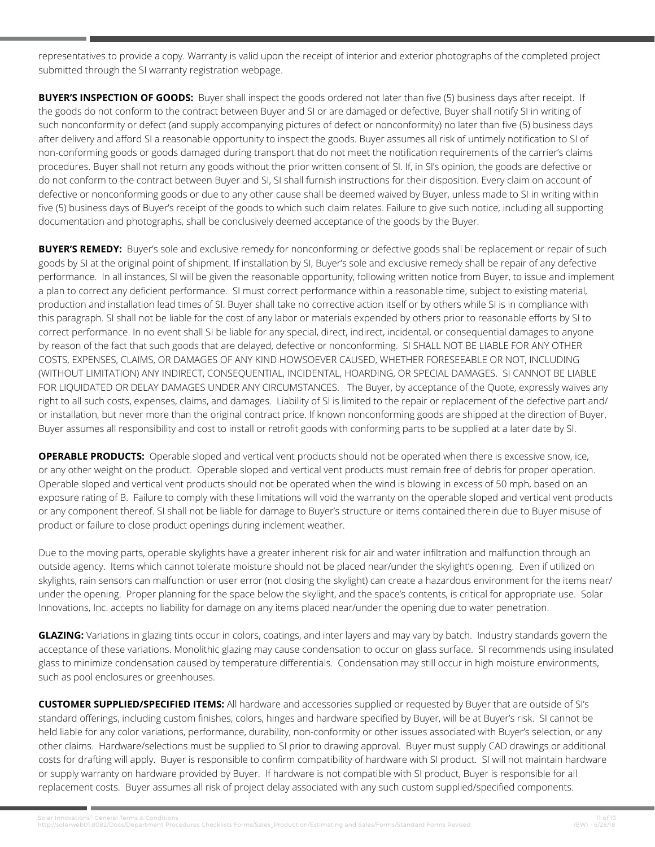representatives to provide a copy. Warranty is valid upon the receipt of interior and exterior photographs of the completed project submitted through the SI warranty registration webpage.

**BUYER'S INSPECTION OF GOODS:** Buyer shall inspect the goods ordered not later than five (5) business days after receipt. If the goods do not conform to the contract between Buyer and SI or are damaged or defective, Buyer shall notify SI in writing of such nonconformity or defect (and supply accompanying pictures of defect or nonconformity) no later than five (5) business days after delivery and afford SI a reasonable opportunity to inspect the goods. Buyer assumes all risk of untimely notification to SI of non-conforming goods or goods damaged during transport that do not meet the notification requirements of the carrier's claims procedures. Buyer shall not return any goods without the prior written consent of SI. If, in SI's opinion, the goods are defective or do not conform to the contract between Buyer and SI, SI shall furnish instructions for their disposition. Every claim on account of defective or nonconforming goods or due to any other cause shall be deemed waived by Buyer, unless made to SI in writing within five (5) business days of Buyer's receipt of the goods to which such claim relates. Failure to give such notice, including all supporting documentation and photographs, shall be conclusively deemed acceptance of the goods by the Buyer.

**BUYER'S REMEDY:** Buyer's sole and exclusive remedy for nonconforming or defective goods shall be replacement or repair of such goods by SI at the original point of shipment. If installation by SI, Buyer's sole and exclusive remedy shall be repair of any defective performance. In all instances, SI will be given the reasonable opportunity, following written notice from Buyer, to issue and implement a plan to correct any deficient performance. SI must correct performance within a reasonable time, subject to existing material, production and installation lead times of SI. Buyer shall take no corrective action itself or by others while SI is in compliance with this paragraph. SI shall not be liable for the cost of any labor or materials expended by others prior to reasonable efforts by SI to correct performance. In no event shall SI be liable for any special, direct, indirect, incidental, or consequential damages to anyone by reason of the fact that such goods that are delayed, defective or nonconforming. SI SHALL NOT BE LIABLE FOR ANY OTHER COSTS, EXPENSES, CLAIMS, OR DAMAGES OF ANY KIND HOWSOEVER CAUSED, WHETHER FORESEEABLE OR NOT, INCLUDING (WITHOUT LIMITATION) ANY INDIRECT, CONSEQUENTIAL, INCIDENTAL, HOARDING, OR SPECIAL DAMAGES. SI CANNOT BE LIABLE FOR LIQUIDATED OR DELAY DAMAGES UNDER ANY CIRCUMSTANCES. The Buyer, by acceptance of the Quote, expressly waives any right to all such costs, expenses, claims, and damages. Liability of SI is limited to the repair or replacement of the defective part and/ or installation, but never more than the original contract price. If known nonconforming goods are shipped at the direction of Buyer, Buyer assumes all responsibility and cost to install or retrofit goods with conforming parts to be supplied at a later date by SI.

**OPERABLE PRODUCTS:** Operable sloped and vertical vent products should not be operated when there is excessive snow, ice, or any other weight on the product. Operable sloped and vertical vent products must remain free of debris for proper operation. Operable sloped and vertical vent products should not be operated when the wind is blowing in excess of 50 mph, based on an exposure rating of B. Failure to comply with these limitations will void the warranty on the operable sloped and vertical vent products or any component thereof. SI shall not be liable for damage to Buyer's structure or items contained therein due to Buyer misuse of product or failure to close product openings during inclement weather.

Due to the moving parts, operable skylights have a greater inherent risk for air and water infiltration and malfunction through an outside agency. Items which cannot tolerate moisture should not be placed near/under the skylight's opening. Even if utilized on skylights, rain sensors can malfunction or user error (not closing the skylight) can create a hazardous environment for the items near/ under the opening. Proper planning for the space below the skylight, and the space's contents, is critical for appropriate use. Solar Innovations, Inc. accepts no liability for damage on any items placed near/under the opening due to water penetration.

**GLAZING:** Variations in glazing tints occur in colors, coatings, and inter layers and may vary by batch. Industry standards govern the acceptance of these variations. Monolithic glazing may cause condensation to occur on glass surface. SI recommends using insulated glass to minimize condensation caused by temperature differentials. Condensation may still occur in high moisture environments, such as pool enclosures or greenhouses.

**CUSTOMER SUPPLIED/SPECIFIED ITEMS:** All hardware and accessories supplied or requested by Buyer that are outside of SI's standard offerings, including custom finishes, colors, hinges and hardware specified by Buyer, will be at Buyer's risk. SI cannot be held liable for any color variations, performance, durability, non-conformity or other issues associated with Buyer's selection, or any other claims. Hardware/selections must be supplied to SI prior to drawing approval. Buyer must supply CAD drawings or additional costs for drafting will apply. Buyer is responsible to confirm compatibility of hardware with SI product. SI will not maintain hardware or supply warranty on hardware provided by Buyer. If hardware is not compatible with SI product, Buyer is responsible for all replacement costs. Buyer assumes all risk of project delay associated with any such custom supplied/specified components.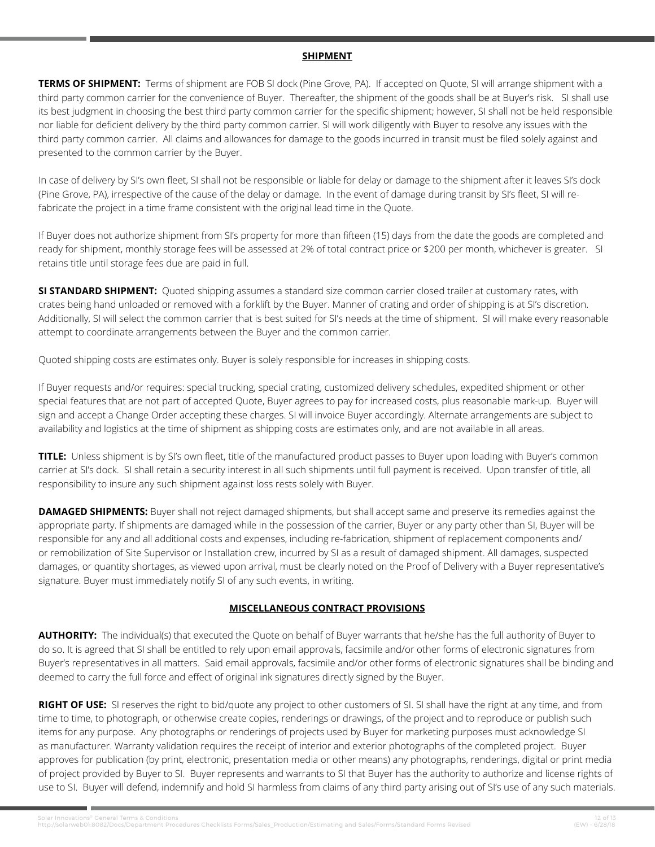#### **SHIPMENT**

**TERMS OF SHIPMENT:** Terms of shipment are FOB SI dock (Pine Grove, PA). If accepted on Quote, SI will arrange shipment with a third party common carrier for the convenience of Buyer. Thereafter, the shipment of the goods shall be at Buyer's risk. SI shall use its best judgment in choosing the best third party common carrier for the specific shipment; however, SI shall not be held responsible nor liable for deficient delivery by the third party common carrier. SI will work diligently with Buyer to resolve any issues with the third party common carrier. All claims and allowances for damage to the goods incurred in transit must be filed solely against and presented to the common carrier by the Buyer.

In case of delivery by SI's own fleet, SI shall not be responsible or liable for delay or damage to the shipment after it leaves SI's dock (Pine Grove, PA), irrespective of the cause of the delay or damage. In the event of damage during transit by SI's fleet, SI will refabricate the project in a time frame consistent with the original lead time in the Quote.

If Buyer does not authorize shipment from SI's property for more than fifteen (15) days from the date the goods are completed and ready for shipment, monthly storage fees will be assessed at 2% of total contract price or \$200 per month, whichever is greater. SI retains title until storage fees due are paid in full.

**SI STANDARD SHIPMENT:** Quoted shipping assumes a standard size common carrier closed trailer at customary rates, with crates being hand unloaded or removed with a forklift by the Buyer. Manner of crating and order of shipping is at SI's discretion. Additionally, SI will select the common carrier that is best suited for SI's needs at the time of shipment. SI will make every reasonable attempt to coordinate arrangements between the Buyer and the common carrier.

Quoted shipping costs are estimates only. Buyer is solely responsible for increases in shipping costs.

If Buyer requests and/or requires: special trucking, special crating, customized delivery schedules, expedited shipment or other special features that are not part of accepted Quote, Buyer agrees to pay for increased costs, plus reasonable mark-up. Buyer will sign and accept a Change Order accepting these charges. SI will invoice Buyer accordingly. Alternate arrangements are subject to availability and logistics at the time of shipment as shipping costs are estimates only, and are not available in all areas.

**TITLE:** Unless shipment is by SI's own fleet, title of the manufactured product passes to Buyer upon loading with Buyer's common carrier at SI's dock. SI shall retain a security interest in all such shipments until full payment is received. Upon transfer of title, all responsibility to insure any such shipment against loss rests solely with Buyer.

**DAMAGED SHIPMENTS:** Buyer shall not reject damaged shipments, but shall accept same and preserve its remedies against the appropriate party. If shipments are damaged while in the possession of the carrier, Buyer or any party other than SI, Buyer will be responsible for any and all additional costs and expenses, including re-fabrication, shipment of replacement components and/ or remobilization of Site Supervisor or Installation crew, incurred by SI as a result of damaged shipment. All damages, suspected damages, or quantity shortages, as viewed upon arrival, must be clearly noted on the Proof of Delivery with a Buyer representative's signature. Buyer must immediately notify SI of any such events, in writing.

# **MISCELLANEOUS CONTRACT PROVISIONS**

**AUTHORITY:** The individual(s) that executed the Quote on behalf of Buyer warrants that he/she has the full authority of Buyer to do so. It is agreed that SI shall be entitled to rely upon email approvals, facsimile and/or other forms of electronic signatures from Buyer's representatives in all matters. Said email approvals, facsimile and/or other forms of electronic signatures shall be binding and deemed to carry the full force and effect of original ink signatures directly signed by the Buyer.

**RIGHT OF USE:** SI reserves the right to bid/quote any project to other customers of SI. SI shall have the right at any time, and from time to time, to photograph, or otherwise create copies, renderings or drawings, of the project and to reproduce or publish such items for any purpose. Any photographs or renderings of projects used by Buyer for marketing purposes must acknowledge SI as manufacturer. Warranty validation requires the receipt of interior and exterior photographs of the completed project. Buyer approves for publication (by print, electronic, presentation media or other means) any photographs, renderings, digital or print media of project provided by Buyer to SI. Buyer represents and warrants to SI that Buyer has the authority to authorize and license rights of use to SI. Buyer will defend, indemnify and hold SI harmless from claims of any third party arising out of SI's use of any such materials.